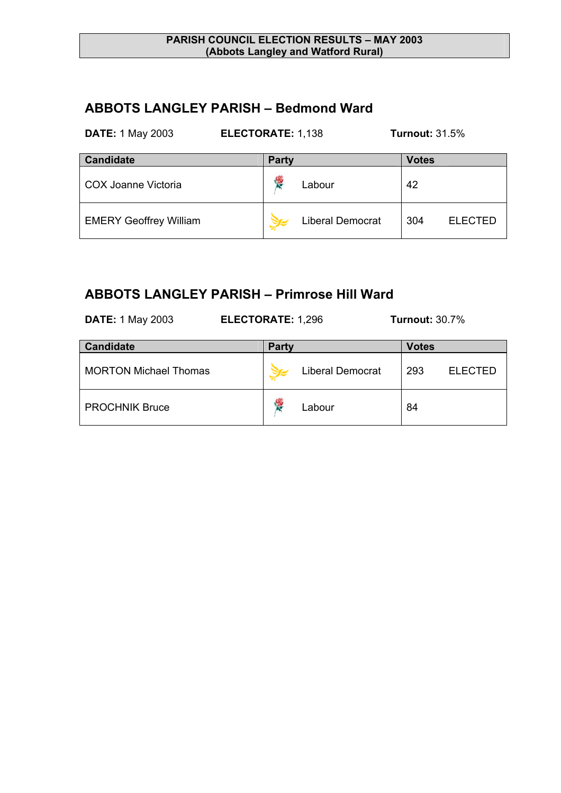### **ABBOTS LANGLEY PARISH – Bedmond Ward**

| <b>DATE: 1 May 2003</b> | <b>ELECTORATE: 1,138</b> | <b>Turnout: 31.5%</b> |
|-------------------------|--------------------------|-----------------------|
| <b>Candidate</b>        | <b>Party</b>             | <b>Votes</b>          |
|                         |                          |                       |

| COX Joanne Victoria           | Labour                  | 42  |                |
|-------------------------------|-------------------------|-----|----------------|
| <b>EMERY Geoffrey William</b> | <b>Liberal Democrat</b> | 304 | <b>ELECTED</b> |

### **ABBOTS LANGLEY PARISH – Primrose Hill Ward**

**DATE:** 1 May 2003 **ELECTORATE:** 1,296 **Turnout:** 30.7%

| <b>Candidate</b>             | <b>Party</b> |                         | <b>Votes</b> |                |
|------------------------------|--------------|-------------------------|--------------|----------------|
| <b>MORTON Michael Thomas</b> |              | <b>Liberal Democrat</b> | 293          | <b>ELECTED</b> |
| <b>PROCHNIK Bruce</b>        |              | Labour                  | 84           |                |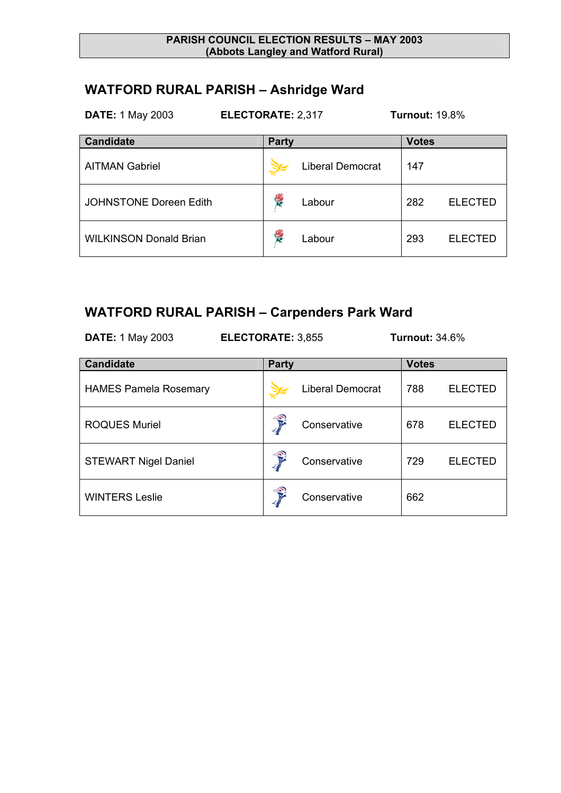# **WATFORD RURAL PARISH – Ashridge Ward**

| <b>DATE: 1 May 2003</b>       | <b>ELECTORATE: 2,317</b> | <b>Turnout: 19.8%</b> |  |
|-------------------------------|--------------------------|-----------------------|--|
| <b>Candidate</b>              | <b>Party</b>             | <b>Votes</b>          |  |
| <b>AITMAN Gabriel</b>         | <b>Liberal Democrat</b>  | 147                   |  |
| <b>JOHNSTONE Doreen Edith</b> | <b>RE</b><br>Labour      | 282<br><b>ELECTED</b> |  |
| <b>WILKINSON Donald Brian</b> | <b>RE</b><br>Labour      | 293<br><b>ELECTED</b> |  |

# **WATFORD RURAL PARISH – Carpenders Park Ward**

| <b>DATE: 1 May 2003</b>      | <b>ELECTORATE: 3,855</b> |              | <b>Turnout: 34.6%</b>   |  |              |                |
|------------------------------|--------------------------|--------------|-------------------------|--|--------------|----------------|
| <b>Candidate</b>             |                          | <b>Party</b> |                         |  | <b>Votes</b> |                |
| <b>HAMES Pamela Rosemary</b> |                          |              | <b>Liberal Democrat</b> |  | 788          | <b>ELECTED</b> |
| <b>ROQUES Muriel</b>         |                          |              | Conservative            |  | 678          | <b>ELECTED</b> |
| <b>STEWART Nigel Daniel</b>  |                          |              | Conservative            |  | 729          | <b>ELECTED</b> |
| <b>WINTERS Leslie</b>        |                          |              | Conservative            |  | 662          |                |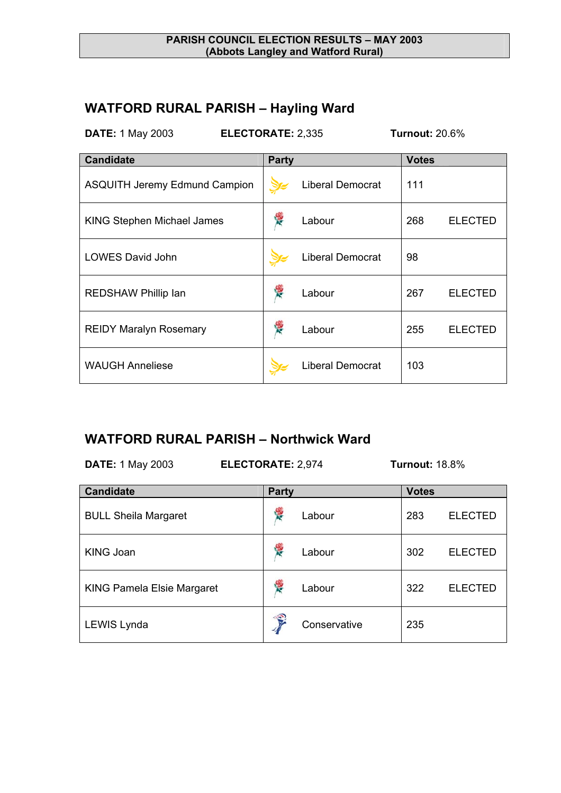## **WATFORD RURAL PARISH – Hayling Ward**

**DATE:** 1 May 2003 **ELECTORATE:** 2,335 **Turnout:** 20.6%

| <b>Candidate</b>                     | <b>Party</b> |                         | <b>Votes</b> |                |
|--------------------------------------|--------------|-------------------------|--------------|----------------|
| <b>ASQUITH Jeremy Edmund Campion</b> |              | <b>Liberal Democrat</b> | 111          |                |
| <b>KING Stephen Michael James</b>    |              | Labour                  | 268          | <b>ELECTED</b> |
| <b>LOWES David John</b>              |              | <b>Liberal Democrat</b> | 98           |                |
| <b>REDSHAW Phillip lan</b>           |              | Labour                  | 267          | <b>ELECTED</b> |
| <b>REIDY Maralyn Rosemary</b>        |              | Labour                  | 255          | <b>ELECTED</b> |
| <b>WAUGH Anneliese</b>               |              | <b>Liberal Democrat</b> | 103          |                |

### **WATFORD RURAL PARISH – Northwick Ward**

**DATE:** 1 May 2003 **ELECTORATE:** 2,974 **Turnout:** 18.8%

| <b>Candidate</b>                  | <b>Party</b>           |              | <b>Votes</b> |                |
|-----------------------------------|------------------------|--------------|--------------|----------------|
| <b>BULL Sheila Margaret</b>       | <b>RE</b>              | Labour       | 283          | <b>ELECTED</b> |
| <b>KING Joan</b>                  | <b>RE</b>              | Labour       | 302          | <b>ELECTED</b> |
| <b>KING Pamela Elsie Margaret</b> | <b>RE</b>              | Labour       | 322          | <b>ELECTED</b> |
| LEWIS Lynda                       | $\widehat{\mathbf{S}}$ | Conservative | 235          |                |